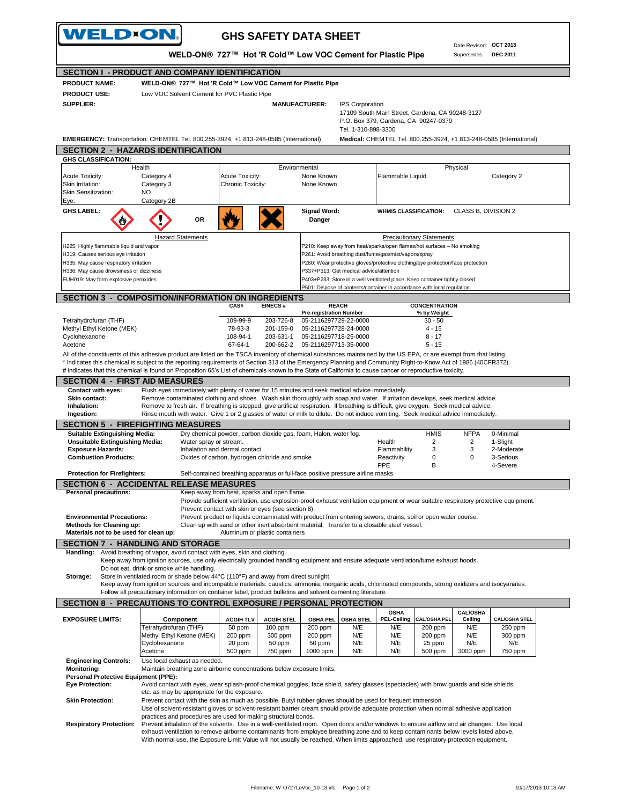| WELD×ON.                                                                        |                                                                                                                                                                                                                                                                                                                                        | <b>GHS SAFETY DATA SHEET</b>                                                                                                                                                                                |                                        |                                                |                                                                                                                                 |                                     |                                       |                                                                     |  |
|---------------------------------------------------------------------------------|----------------------------------------------------------------------------------------------------------------------------------------------------------------------------------------------------------------------------------------------------------------------------------------------------------------------------------------|-------------------------------------------------------------------------------------------------------------------------------------------------------------------------------------------------------------|----------------------------------------|------------------------------------------------|---------------------------------------------------------------------------------------------------------------------------------|-------------------------------------|---------------------------------------|---------------------------------------------------------------------|--|
|                                                                                 |                                                                                                                                                                                                                                                                                                                                        | WELD-ON® 727™ Hot 'R Cold™ Low VOC Cement for Plastic Pipe                                                                                                                                                  |                                        |                                                |                                                                                                                                 |                                     | Date Revised: OCT 2013<br>Supersedes: | <b>DEC 2011</b>                                                     |  |
|                                                                                 | <b>SECTION I - PRODUCT AND COMPANY IDENTIFICATION</b>                                                                                                                                                                                                                                                                                  |                                                                                                                                                                                                             |                                        |                                                |                                                                                                                                 |                                     |                                       |                                                                     |  |
| <b>PRODUCT NAME:</b>                                                            | WELD-ON® 727™ Hot 'R Cold™ Low VOC Cement for Plastic Pipe                                                                                                                                                                                                                                                                             |                                                                                                                                                                                                             |                                        |                                                |                                                                                                                                 |                                     |                                       |                                                                     |  |
| <b>PRODUCT USE:</b>                                                             | Low VOC Solvent Cement for PVC Plastic Pipe                                                                                                                                                                                                                                                                                            |                                                                                                                                                                                                             |                                        |                                                |                                                                                                                                 |                                     |                                       |                                                                     |  |
| <b>SUPPLIER:</b>                                                                |                                                                                                                                                                                                                                                                                                                                        |                                                                                                                                                                                                             | <b>MANUFACTURER:</b>                   | <b>IPS Corporation</b>                         | 17109 South Main Street, Gardena, CA 90248-3127<br>P.O. Box 379, Gardena, CA 90247-0379                                         |                                     |                                       |                                                                     |  |
|                                                                                 | EMERGENCY: Transportation: CHEMTEL Tel. 800.255-3924, +1 813-248-0585 (International)                                                                                                                                                                                                                                                  |                                                                                                                                                                                                             |                                        | Tel. 1-310-898-3300                            |                                                                                                                                 |                                     |                                       | Medical: CHEMTEL Tel. 800.255-3924, +1 813-248-0585 (International) |  |
|                                                                                 | <b>SECTION 2 - HAZARDS IDENTIFICATION</b>                                                                                                                                                                                                                                                                                              |                                                                                                                                                                                                             |                                        |                                                |                                                                                                                                 |                                     |                                       |                                                                     |  |
| <b>GHS CLASSIFICATION:</b>                                                      | Health                                                                                                                                                                                                                                                                                                                                 |                                                                                                                                                                                                             | Environmental                          |                                                |                                                                                                                                 |                                     | Physical                              |                                                                     |  |
| <b>Acute Toxicity:</b><br>Skin Irritation:<br>Skin Sensitization:<br>Eye:       | Category 4<br>Category 3<br>NO.<br>Category 2B                                                                                                                                                                                                                                                                                         | Acute Toxicity:<br>Chronic Toxicity:                                                                                                                                                                        | None Known<br>None Known               |                                                | Flammable Liquid                                                                                                                |                                     |                                       | Category 2                                                          |  |
| <b>GHS LABEL:</b>                                                               | OR                                                                                                                                                                                                                                                                                                                                     |                                                                                                                                                                                                             | <b>Signal Word:</b><br>Danger          |                                                | <b>WHMIS CLASSIFICATION:</b>                                                                                                    |                                     | CLASS B, DIVISION 2                   |                                                                     |  |
|                                                                                 | <b>Hazard Statements</b>                                                                                                                                                                                                                                                                                                               |                                                                                                                                                                                                             |                                        |                                                |                                                                                                                                 | <b>Precautionary Statements</b>     |                                       |                                                                     |  |
| H225: Highly flammable liquid and vapor<br>H319: Causes serious eye irritation  |                                                                                                                                                                                                                                                                                                                                        |                                                                                                                                                                                                             |                                        |                                                | P210: Keep away from heat/sparks/open flames/hot surfaces - No smoking<br>P261: Avoid breathing dust/fume/gas/mist/vapors/spray |                                     |                                       |                                                                     |  |
| H335: May cause respiratory irritation                                          |                                                                                                                                                                                                                                                                                                                                        |                                                                                                                                                                                                             |                                        |                                                | P280: Wear protective gloves/protective clothing/eye protection/face protection                                                 |                                     |                                       |                                                                     |  |
| H336: May cause drowsiness or dizziness<br>EUH019: May form explosive peroxides |                                                                                                                                                                                                                                                                                                                                        |                                                                                                                                                                                                             |                                        | P337+P313: Get medical advice/attention        | P403+P233: Store in a well ventilated place. Keep container tightly closed                                                      |                                     |                                       |                                                                     |  |
|                                                                                 |                                                                                                                                                                                                                                                                                                                                        |                                                                                                                                                                                                             |                                        |                                                | P501: Dispose of contents/container in accordance with local regulation                                                         |                                     |                                       |                                                                     |  |
|                                                                                 | <b>SECTION 3 - COMPOSITION/INFORMATION ON INGREDIENTS</b>                                                                                                                                                                                                                                                                              |                                                                                                                                                                                                             |                                        |                                                |                                                                                                                                 |                                     |                                       |                                                                     |  |
|                                                                                 |                                                                                                                                                                                                                                                                                                                                        | CAS#<br><b>EINECS#</b>                                                                                                                                                                                      | <b>Pre-registration Number</b>         | <b>REACH</b>                                   |                                                                                                                                 | <b>CONCENTRATION</b><br>% by Weight |                                       |                                                                     |  |
| Tetrahydrofuran (THF)                                                           |                                                                                                                                                                                                                                                                                                                                        | 109-99-9                                                                                                                                                                                                    | 203-726-8                              | 05-2116297729-22-0000                          |                                                                                                                                 | $30 - 50$                           |                                       |                                                                     |  |
| Methyl Ethyl Ketone (MEK)<br>Cyclohexanone                                      |                                                                                                                                                                                                                                                                                                                                        | 78-93-3<br>108-94-1                                                                                                                                                                                         | 201-159-0<br>203-631-1                 | 05-2116297728-24-0000<br>05-2116297718-25-0000 |                                                                                                                                 | $4 - 15$<br>$8 - 17$                |                                       |                                                                     |  |
| Acetone                                                                         |                                                                                                                                                                                                                                                                                                                                        | 67-64-1                                                                                                                                                                                                     | 200-662-2   05-2116297713-35-0000      |                                                |                                                                                                                                 | $5 - 15$                            |                                       |                                                                     |  |
|                                                                                 | All of the constituents of this adhesive product are listed on the TSCA inventory of chemical substances maintained by the US EPA, or are exempt from that listing.<br>* Indicates this chemical is subject to the reporting requirements of Section 313 of the Emergency Planning and Community Right-to-Know Act of 1986 (40CFR372). |                                                                                                                                                                                                             |                                        |                                                |                                                                                                                                 |                                     |                                       |                                                                     |  |
|                                                                                 | # indicates that this chemical is found on Proposition 65's List of chemicals known to the State of California to cause cancer or reproductive toxicity.                                                                                                                                                                               |                                                                                                                                                                                                             |                                        |                                                |                                                                                                                                 |                                     |                                       |                                                                     |  |
| <b>SECTION 4 - FIRST AID MEASURES</b>                                           |                                                                                                                                                                                                                                                                                                                                        |                                                                                                                                                                                                             |                                        |                                                |                                                                                                                                 |                                     |                                       |                                                                     |  |
| Contact with eyes:<br><b>Skin contact:</b>                                      | Flush eyes immediately with plenty of water for 15 minutes and seek medical advice immediately.<br>Remove contaminated clothing and shoes. Wash skin thoroughly with soap and water. If irritation develops, seek medical advice.                                                                                                      |                                                                                                                                                                                                             |                                        |                                                |                                                                                                                                 |                                     |                                       |                                                                     |  |
| Inhalation:<br>Ingestion:                                                       | Remove to fresh air. If breathing is stopped, give artificial respiration. If breathing is difficult, give oxygen. Seek medical advice.<br>Rinse mouth with water. Give 1 or 2 glasses of water or milk to dilute. Do not induce vomiting. Seek medical advice immediately.                                                            |                                                                                                                                                                                                             |                                        |                                                |                                                                                                                                 |                                     |                                       |                                                                     |  |
|                                                                                 | <b>SECTION 5 - FIREFIGHTING MEASURES</b>                                                                                                                                                                                                                                                                                               |                                                                                                                                                                                                             |                                        |                                                |                                                                                                                                 |                                     |                                       |                                                                     |  |
| <b>Suitable Extinguishing Media:</b><br><b>Unsuitable Extinguishing Media:</b>  | Water spray or stream.                                                                                                                                                                                                                                                                                                                 | Dry chemical powder, carbon dioxide gas, foam, Halon, water fog.                                                                                                                                            |                                        |                                                | Health                                                                                                                          | <b>HMIS</b><br>$\overline{2}$       | <b>NFPA</b><br>2                      | 0-Minimal<br>1-Slight                                               |  |
| <b>Exposure Hazards:</b>                                                        |                                                                                                                                                                                                                                                                                                                                        | Inhalation and dermal contact                                                                                                                                                                               |                                        |                                                | Flammability                                                                                                                    | 3                                   | 3                                     | 2-Moderate                                                          |  |
| <b>Combustion Products:</b>                                                     |                                                                                                                                                                                                                                                                                                                                        | Oxides of carbon, hydrogen chloride and smoke                                                                                                                                                               |                                        |                                                | Reactivity<br>PPE                                                                                                               | $\mathbf 0$<br>B                    | 0                                     | 3-Serious<br>4-Severe                                               |  |
| <b>Protection for Firefighters:</b>                                             |                                                                                                                                                                                                                                                                                                                                        | Self-contained breathing apparatus or full-face positive pressure airline masks.                                                                                                                            |                                        |                                                |                                                                                                                                 |                                     |                                       |                                                                     |  |
|                                                                                 | <b>SECTION 6 - ACCIDENTAL RELEASE MEASURES</b>                                                                                                                                                                                                                                                                                         |                                                                                                                                                                                                             |                                        |                                                |                                                                                                                                 |                                     |                                       |                                                                     |  |
| <b>Personal precautions:</b>                                                    |                                                                                                                                                                                                                                                                                                                                        | Keep away from heat, sparks and open flame.<br>Provide sufficient ventilation, use explosion-proof exhaust ventilation equipment or wear suitable respiratory protective equipment.                         |                                        |                                                |                                                                                                                                 |                                     |                                       |                                                                     |  |
|                                                                                 |                                                                                                                                                                                                                                                                                                                                        | Prevent contact with skin or eyes (see section 8).                                                                                                                                                          |                                        |                                                |                                                                                                                                 |                                     |                                       |                                                                     |  |
| <b>Environmental Precautions:</b><br><b>Methods for Cleaning up:</b>            |                                                                                                                                                                                                                                                                                                                                        | Prevent product or liquids contaminated with product from entering sewers, drains, soil or open water course.<br>Clean up with sand or other inert absorbent material. Transfer to a closable steel vessel. |                                        |                                                |                                                                                                                                 |                                     |                                       |                                                                     |  |
| Materials not to be used for clean up:                                          |                                                                                                                                                                                                                                                                                                                                        | Aluminum or plastic containers                                                                                                                                                                              |                                        |                                                |                                                                                                                                 |                                     |                                       |                                                                     |  |
|                                                                                 | <b>SECTION 7 - HANDLING AND STORAGE</b>                                                                                                                                                                                                                                                                                                |                                                                                                                                                                                                             |                                        |                                                |                                                                                                                                 |                                     |                                       |                                                                     |  |
| Handling:                                                                       | Avoid breathing of vapor, avoid contact with eyes, skin and clothing.<br>Keep away from ignition sources, use only electrically grounded handling equipment and ensure adequate ventilation/fume exhaust hoods.                                                                                                                        |                                                                                                                                                                                                             |                                        |                                                |                                                                                                                                 |                                     |                                       |                                                                     |  |
|                                                                                 | Do not eat, drink or smoke while handling.                                                                                                                                                                                                                                                                                             |                                                                                                                                                                                                             |                                        |                                                |                                                                                                                                 |                                     |                                       |                                                                     |  |
| Storage:                                                                        | Store in ventilated room or shade below 44°C (110°F) and away from direct sunlight.<br>Keep away from ignition sources and incompatible materials: caustics, ammonia, inorganic acids, chlorinated compounds, strong oxidizers and isocyanates.                                                                                        |                                                                                                                                                                                                             |                                        |                                                |                                                                                                                                 |                                     |                                       |                                                                     |  |
|                                                                                 | Follow all precautionary information on container label, product bulletins and solvent cementing literature.                                                                                                                                                                                                                           |                                                                                                                                                                                                             |                                        |                                                |                                                                                                                                 |                                     |                                       |                                                                     |  |
|                                                                                 | SECTION 8 - PRECAUTIONS TO CONTROL EXPOSURE / PERSONAL PROTECTION                                                                                                                                                                                                                                                                      |                                                                                                                                                                                                             |                                        |                                                |                                                                                                                                 |                                     |                                       |                                                                     |  |
| <b>EXPOSURE LIMITS:</b>                                                         | Component                                                                                                                                                                                                                                                                                                                              | <b>ACGIH TLV</b>                                                                                                                                                                                            | <b>ACGIH STEL</b><br><b>OSHA PEL</b>   | <b>OSHA STEL</b>                               | <b>OSHA</b><br><b>PEL-Ceiling</b>                                                                                               | <b>CAL/OSHA PEL</b>                 | <b>CAL/OSHA</b><br>Ceiling            | <b>CAL/OSHA STEL</b>                                                |  |
|                                                                                 | Tetrahydrofuran (THF)                                                                                                                                                                                                                                                                                                                  | 50 ppm                                                                                                                                                                                                      | $100$ ppm<br>200 ppm                   | N/E                                            | N/E                                                                                                                             | 200 ppm                             | N/E                                   | 250 ppm                                                             |  |
|                                                                                 | Methyl Ethyl Ketone (MEK)<br>Cyclohexanone                                                                                                                                                                                                                                                                                             | 200 ppm<br>20 ppm                                                                                                                                                                                           | 300 ppm<br>200 ppm<br>50 ppm<br>50 ppm | N/E<br>N/E                                     | N/E<br>N/E                                                                                                                      | 200 ppm<br>25 ppm                   | N/E<br>N/E                            | 300 ppm<br>N/E                                                      |  |
|                                                                                 | Acetone                                                                                                                                                                                                                                                                                                                                | 500 ppm                                                                                                                                                                                                     | 750 ppm<br>1000 ppm                    | N/E                                            | N/E                                                                                                                             | 500 ppm                             | 3000 ppm                              | 750 ppm                                                             |  |
| <b>Engineering Controls:</b><br><b>Monitoring:</b>                              | Use local exhaust as needed.<br>Maintain breathing zone airborne concentrations below exposure limits.                                                                                                                                                                                                                                 |                                                                                                                                                                                                             |                                        |                                                |                                                                                                                                 |                                     |                                       |                                                                     |  |
| Personal Protective Equipment (PPE):                                            |                                                                                                                                                                                                                                                                                                                                        |                                                                                                                                                                                                             |                                        |                                                |                                                                                                                                 |                                     |                                       |                                                                     |  |
| <b>Eye Protection:</b>                                                          | Avoid contact with eyes, wear splash-proof chemical goggles, face shield, safety glasses (spectacles) with brow guards and side shields,                                                                                                                                                                                               |                                                                                                                                                                                                             |                                        |                                                |                                                                                                                                 |                                     |                                       |                                                                     |  |
| <b>Skin Protection:</b>                                                         | etc. as may be appropriate for the exposure.<br>Prevent contact with the skin as much as possible. Butyl rubber gloves should be used for frequent immersion.                                                                                                                                                                          |                                                                                                                                                                                                             |                                        |                                                |                                                                                                                                 |                                     |                                       |                                                                     |  |
|                                                                                 | Use of solvent-resistant gloves or solvent-resistant barrier cream should provide adequate protection when normal adhesive application                                                                                                                                                                                                 |                                                                                                                                                                                                             |                                        |                                                |                                                                                                                                 |                                     |                                       |                                                                     |  |
| <b>Respiratory Protection:</b>                                                  | practices and procedures are used for making structural bonds.<br>Prevent inhalation of the solvents. Use in a well-ventilated room. Open doors and/or windows to ensure airflow and air changes. Use local                                                                                                                            |                                                                                                                                                                                                             |                                        |                                                |                                                                                                                                 |                                     |                                       |                                                                     |  |
|                                                                                 | exhaust ventilation to remove airborne contaminants from employee breathing zone and to keep contaminants below levels listed above.<br>With normal use, the Exposure Limit Value will not usually be reached. When limits approached, use respiratory protection equipment.                                                           |                                                                                                                                                                                                             |                                        |                                                |                                                                                                                                 |                                     |                                       |                                                                     |  |